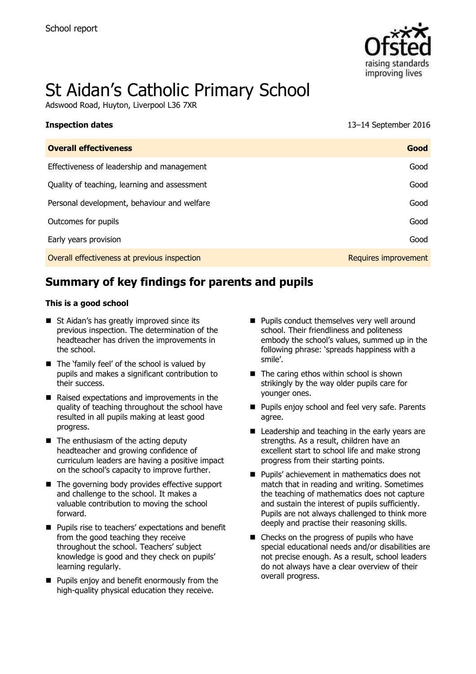

# St Aidan's Catholic Primary School

Adswood Road, Huyton, Liverpool L36 7XR

## **Inspection dates** 13–14 September 2016 **Overall effectiveness Good** Effectiveness of leadership and management Good Quality of teaching, learning and assessment Good Contact Contact Contact Contact Contact Contact Contact Contact Contact Contact Contact Contact Contact Contact Contact Contact Contact Contact Contact Contact Contact Cont Personal development, behaviour and welfare Good Outcomes for pupils Good Early years provision Good Overall effectiveness at previous inspection **Requires improvement** Requires improvement

### **Summary of key findings for parents and pupils**

#### **This is a good school**

- St Aidan's has greatly improved since its previous inspection. The determination of the headteacher has driven the improvements in the school.
- The 'family feel' of the school is valued by pupils and makes a significant contribution to their success.
- $\blacksquare$  Raised expectations and improvements in the quality of teaching throughout the school have resulted in all pupils making at least good progress.
- $\blacksquare$  The enthusiasm of the acting deputy headteacher and growing confidence of curriculum leaders are having a positive impact on the school's capacity to improve further.
- The governing body provides effective support and challenge to the school. It makes a valuable contribution to moving the school forward.
- **Pupils rise to teachers' expectations and benefit** from the good teaching they receive throughout the school. Teachers' subject knowledge is good and they check on pupils' learning regularly.
- **Pupils enjoy and benefit enormously from the** high-quality physical education they receive.
- **Pupils conduct themselves very well around** school. Their friendliness and politeness embody the school's values, summed up in the following phrase: 'spreads happiness with a smile'.
- The caring ethos within school is shown strikingly by the way older pupils care for younger ones.
- **Pupils enjoy school and feel very safe. Parents** agree.
- Leadership and teaching in the early years are strengths. As a result, children have an excellent start to school life and make strong progress from their starting points.
- **Pupils' achievement in mathematics does not** match that in reading and writing. Sometimes the teaching of mathematics does not capture and sustain the interest of pupils sufficiently. Pupils are not always challenged to think more deeply and practise their reasoning skills.
- Checks on the progress of pupils who have special educational needs and/or disabilities are not precise enough. As a result, school leaders do not always have a clear overview of their overall progress.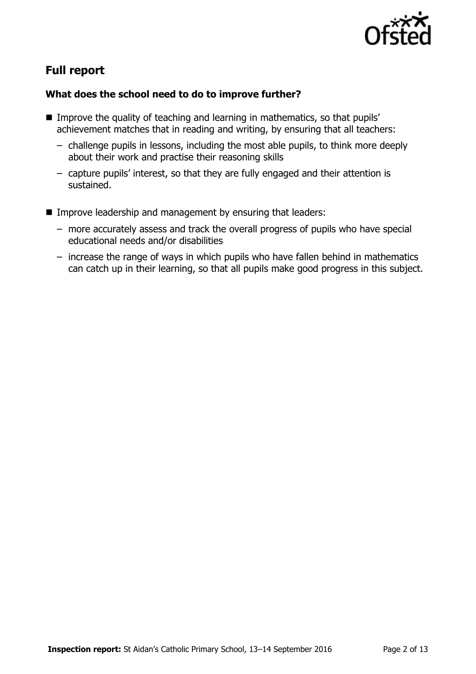

### **Full report**

### **What does the school need to do to improve further?**

- Improve the quality of teaching and learning in mathematics, so that pupils' achievement matches that in reading and writing, by ensuring that all teachers:
	- challenge pupils in lessons, including the most able pupils, to think more deeply about their work and practise their reasoning skills
	- capture pupils' interest, so that they are fully engaged and their attention is sustained.
- **IMPROVE LEADERSHIP and management by ensuring that leaders:** 
	- more accurately assess and track the overall progress of pupils who have special educational needs and/or disabilities
	- increase the range of ways in which pupils who have fallen behind in mathematics can catch up in their learning, so that all pupils make good progress in this subject.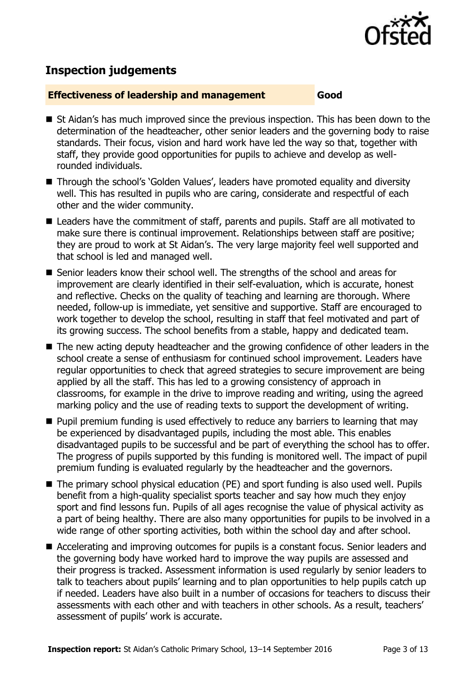

### **Inspection judgements**

#### **Effectiveness of leadership and management Good**

- St Aidan's has much improved since the previous inspection. This has been down to the determination of the headteacher, other senior leaders and the governing body to raise standards. Their focus, vision and hard work have led the way so that, together with staff, they provide good opportunities for pupils to achieve and develop as wellrounded individuals.
- Through the school's `Golden Values', leaders have promoted equality and diversity well. This has resulted in pupils who are caring, considerate and respectful of each other and the wider community.
- Leaders have the commitment of staff, parents and pupils. Staff are all motivated to make sure there is continual improvement. Relationships between staff are positive; they are proud to work at St Aidan's. The very large majority feel well supported and that school is led and managed well.
- Senior leaders know their school well. The strengths of the school and areas for improvement are clearly identified in their self-evaluation, which is accurate, honest and reflective. Checks on the quality of teaching and learning are thorough. Where needed, follow-up is immediate, yet sensitive and supportive. Staff are encouraged to work together to develop the school, resulting in staff that feel motivated and part of its growing success. The school benefits from a stable, happy and dedicated team.
- The new acting deputy headteacher and the growing confidence of other leaders in the school create a sense of enthusiasm for continued school improvement. Leaders have regular opportunities to check that agreed strategies to secure improvement are being applied by all the staff. This has led to a growing consistency of approach in classrooms, for example in the drive to improve reading and writing, using the agreed marking policy and the use of reading texts to support the development of writing.
- $\blacksquare$  Pupil premium funding is used effectively to reduce any barriers to learning that may be experienced by disadvantaged pupils, including the most able. This enables disadvantaged pupils to be successful and be part of everything the school has to offer. The progress of pupils supported by this funding is monitored well. The impact of pupil premium funding is evaluated regularly by the headteacher and the governors.
- The primary school physical education (PE) and sport funding is also used well. Pupils benefit from a high-quality specialist sports teacher and say how much they enjoy sport and find lessons fun. Pupils of all ages recognise the value of physical activity as a part of being healthy. There are also many opportunities for pupils to be involved in a wide range of other sporting activities, both within the school day and after school.
- Accelerating and improving outcomes for pupils is a constant focus. Senior leaders and the governing body have worked hard to improve the way pupils are assessed and their progress is tracked. Assessment information is used regularly by senior leaders to talk to teachers about pupils' learning and to plan opportunities to help pupils catch up if needed. Leaders have also built in a number of occasions for teachers to discuss their assessments with each other and with teachers in other schools. As a result, teachers' assessment of pupils' work is accurate.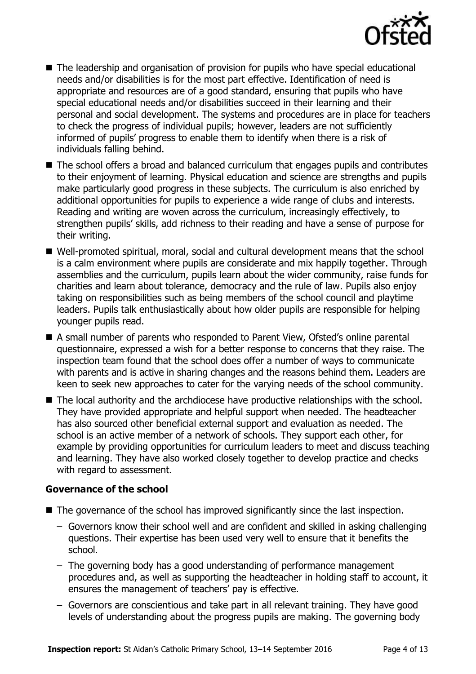

- The leadership and organisation of provision for pupils who have special educational needs and/or disabilities is for the most part effective. Identification of need is appropriate and resources are of a good standard, ensuring that pupils who have special educational needs and/or disabilities succeed in their learning and their personal and social development. The systems and procedures are in place for teachers to check the progress of individual pupils; however, leaders are not sufficiently informed of pupils' progress to enable them to identify when there is a risk of individuals falling behind.
- The school offers a broad and balanced curriculum that engages pupils and contributes to their enjoyment of learning. Physical education and science are strengths and pupils make particularly good progress in these subjects. The curriculum is also enriched by additional opportunities for pupils to experience a wide range of clubs and interests. Reading and writing are woven across the curriculum, increasingly effectively, to strengthen pupils' skills, add richness to their reading and have a sense of purpose for their writing.
- Well-promoted spiritual, moral, social and cultural development means that the school is a calm environment where pupils are considerate and mix happily together. Through assemblies and the curriculum, pupils learn about the wider community, raise funds for charities and learn about tolerance, democracy and the rule of law. Pupils also enjoy taking on responsibilities such as being members of the school council and playtime leaders. Pupils talk enthusiastically about how older pupils are responsible for helping younger pupils read.
- A small number of parents who responded to Parent View, Ofsted's online parental questionnaire, expressed a wish for a better response to concerns that they raise. The inspection team found that the school does offer a number of ways to communicate with parents and is active in sharing changes and the reasons behind them. Leaders are keen to seek new approaches to cater for the varying needs of the school community.
- The local authority and the archdiocese have productive relationships with the school. They have provided appropriate and helpful support when needed. The headteacher has also sourced other beneficial external support and evaluation as needed. The school is an active member of a network of schools. They support each other, for example by providing opportunities for curriculum leaders to meet and discuss teaching and learning. They have also worked closely together to develop practice and checks with regard to assessment.

### **Governance of the school**

- The governance of the school has improved significantly since the last inspection.
	- Governors know their school well and are confident and skilled in asking challenging questions. Their expertise has been used very well to ensure that it benefits the school.
	- The governing body has a good understanding of performance management procedures and, as well as supporting the headteacher in holding staff to account, it ensures the management of teachers' pay is effective.
	- Governors are conscientious and take part in all relevant training. They have good levels of understanding about the progress pupils are making. The governing body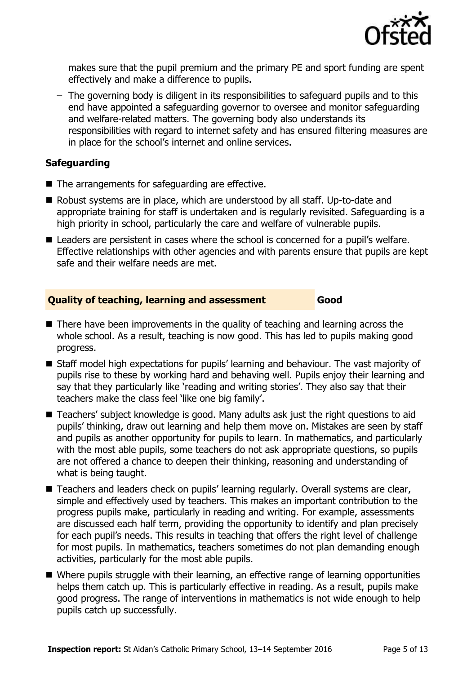

makes sure that the pupil premium and the primary PE and sport funding are spent effectively and make a difference to pupils.

– The governing body is diligent in its responsibilities to safeguard pupils and to this end have appointed a safeguarding governor to oversee and monitor safeguarding and welfare-related matters. The governing body also understands its responsibilities with regard to internet safety and has ensured filtering measures are in place for the school's internet and online services.

#### **Safeguarding**

- The arrangements for safeguarding are effective.
- Robust systems are in place, which are understood by all staff. Up-to-date and appropriate training for staff is undertaken and is regularly revisited. Safeguarding is a high priority in school, particularly the care and welfare of vulnerable pupils.
- Leaders are persistent in cases where the school is concerned for a pupil's welfare. Effective relationships with other agencies and with parents ensure that pupils are kept safe and their welfare needs are met.

#### **Quality of teaching, learning and assessment Good**

- $\blacksquare$  There have been improvements in the quality of teaching and learning across the whole school. As a result, teaching is now good. This has led to pupils making good progress.
- Staff model high expectations for pupils' learning and behaviour. The vast majority of pupils rise to these by working hard and behaving well. Pupils enjoy their learning and say that they particularly like 'reading and writing stories'. They also say that their teachers make the class feel 'like one big family'.
- Teachers' subject knowledge is good. Many adults ask just the right questions to aid pupils' thinking, draw out learning and help them move on. Mistakes are seen by staff and pupils as another opportunity for pupils to learn. In mathematics, and particularly with the most able pupils, some teachers do not ask appropriate questions, so pupils are not offered a chance to deepen their thinking, reasoning and understanding of what is being taught.
- Teachers and leaders check on pupils' learning regularly. Overall systems are clear, simple and effectively used by teachers. This makes an important contribution to the progress pupils make, particularly in reading and writing. For example, assessments are discussed each half term, providing the opportunity to identify and plan precisely for each pupil's needs. This results in teaching that offers the right level of challenge for most pupils. In mathematics, teachers sometimes do not plan demanding enough activities, particularly for the most able pupils.
- Where pupils struggle with their learning, an effective range of learning opportunities helps them catch up. This is particularly effective in reading. As a result, pupils make good progress. The range of interventions in mathematics is not wide enough to help pupils catch up successfully.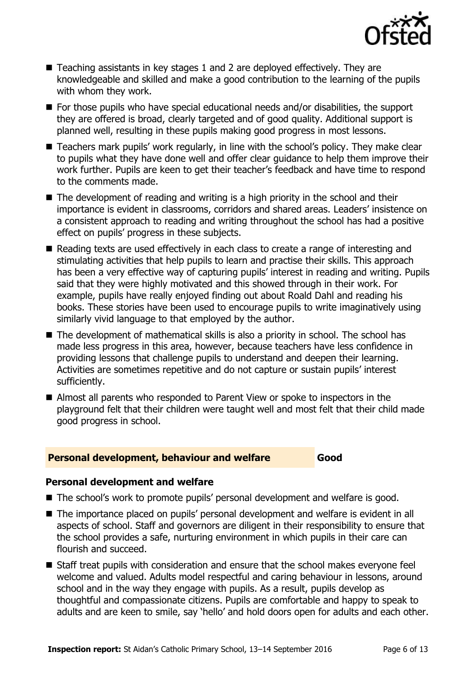

- Teaching assistants in key stages 1 and 2 are deployed effectively. They are knowledgeable and skilled and make a good contribution to the learning of the pupils with whom they work.
- For those pupils who have special educational needs and/or disabilities, the support they are offered is broad, clearly targeted and of good quality. Additional support is planned well, resulting in these pupils making good progress in most lessons.
- Teachers mark pupils' work regularly, in line with the school's policy. They make clear to pupils what they have done well and offer clear guidance to help them improve their work further. Pupils are keen to get their teacher's feedback and have time to respond to the comments made.
- The development of reading and writing is a high priority in the school and their importance is evident in classrooms, corridors and shared areas. Leaders' insistence on a consistent approach to reading and writing throughout the school has had a positive effect on pupils' progress in these subjects.
- Reading texts are used effectively in each class to create a range of interesting and stimulating activities that help pupils to learn and practise their skills. This approach has been a very effective way of capturing pupils' interest in reading and writing. Pupils said that they were highly motivated and this showed through in their work. For example, pupils have really enjoyed finding out about Roald Dahl and reading his books. These stories have been used to encourage pupils to write imaginatively using similarly vivid language to that employed by the author.
- The development of mathematical skills is also a priority in school. The school has made less progress in this area, however, because teachers have less confidence in providing lessons that challenge pupils to understand and deepen their learning. Activities are sometimes repetitive and do not capture or sustain pupils' interest sufficiently.
- Almost all parents who responded to Parent View or spoke to inspectors in the playground felt that their children were taught well and most felt that their child made good progress in school.

#### **Personal development, behaviour and welfare Good**

### **Personal development and welfare**

- The school's work to promote pupils' personal development and welfare is good.
- The importance placed on pupils' personal development and welfare is evident in all aspects of school. Staff and governors are diligent in their responsibility to ensure that the school provides a safe, nurturing environment in which pupils in their care can flourish and succeed.
- Staff treat pupils with consideration and ensure that the school makes everyone feel welcome and valued. Adults model respectful and caring behaviour in lessons, around school and in the way they engage with pupils. As a result, pupils develop as thoughtful and compassionate citizens. Pupils are comfortable and happy to speak to adults and are keen to smile, say 'hello' and hold doors open for adults and each other.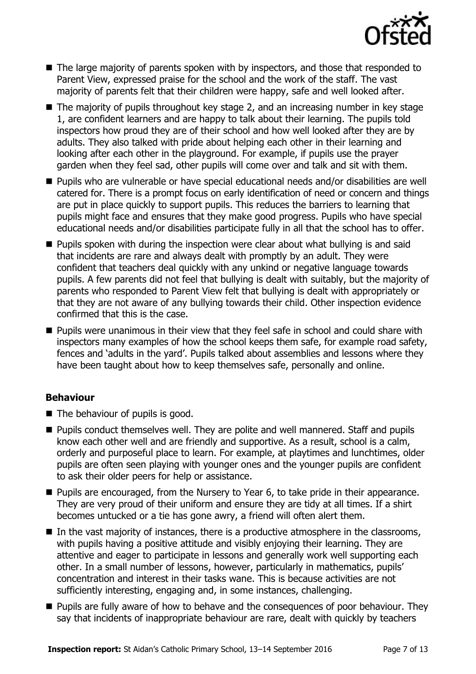

- The large majority of parents spoken with by inspectors, and those that responded to Parent View, expressed praise for the school and the work of the staff. The vast majority of parents felt that their children were happy, safe and well looked after.
- The majority of pupils throughout key stage 2, and an increasing number in key stage 1, are confident learners and are happy to talk about their learning. The pupils told inspectors how proud they are of their school and how well looked after they are by adults. They also talked with pride about helping each other in their learning and looking after each other in the playground. For example, if pupils use the prayer garden when they feel sad, other pupils will come over and talk and sit with them.
- Pupils who are vulnerable or have special educational needs and/or disabilities are well catered for. There is a prompt focus on early identification of need or concern and things are put in place quickly to support pupils. This reduces the barriers to learning that pupils might face and ensures that they make good progress. Pupils who have special educational needs and/or disabilities participate fully in all that the school has to offer.
- **Pupils spoken with during the inspection were clear about what bullying is and said** that incidents are rare and always dealt with promptly by an adult. They were confident that teachers deal quickly with any unkind or negative language towards pupils. A few parents did not feel that bullying is dealt with suitably, but the majority of parents who responded to Parent View felt that bullying is dealt with appropriately or that they are not aware of any bullying towards their child. Other inspection evidence confirmed that this is the case.
- **Pupils were unanimous in their view that they feel safe in school and could share with** inspectors many examples of how the school keeps them safe, for example road safety, fences and 'adults in the yard'. Pupils talked about assemblies and lessons where they have been taught about how to keep themselves safe, personally and online.

### **Behaviour**

- The behaviour of pupils is good.
- **Pupils conduct themselves well. They are polite and well mannered. Staff and pupils** know each other well and are friendly and supportive. As a result, school is a calm, orderly and purposeful place to learn. For example, at playtimes and lunchtimes, older pupils are often seen playing with younger ones and the younger pupils are confident to ask their older peers for help or assistance.
- **Pupils are encouraged, from the Nursery to Year 6, to take pride in their appearance.** They are very proud of their uniform and ensure they are tidy at all times. If a shirt becomes untucked or a tie has gone awry, a friend will often alert them.
- In the vast majority of instances, there is a productive atmosphere in the classrooms, with pupils having a positive attitude and visibly enjoying their learning. They are attentive and eager to participate in lessons and generally work well supporting each other. In a small number of lessons, however, particularly in mathematics, pupils' concentration and interest in their tasks wane. This is because activities are not sufficiently interesting, engaging and, in some instances, challenging.
- **Pupils are fully aware of how to behave and the consequences of poor behaviour. They** say that incidents of inappropriate behaviour are rare, dealt with quickly by teachers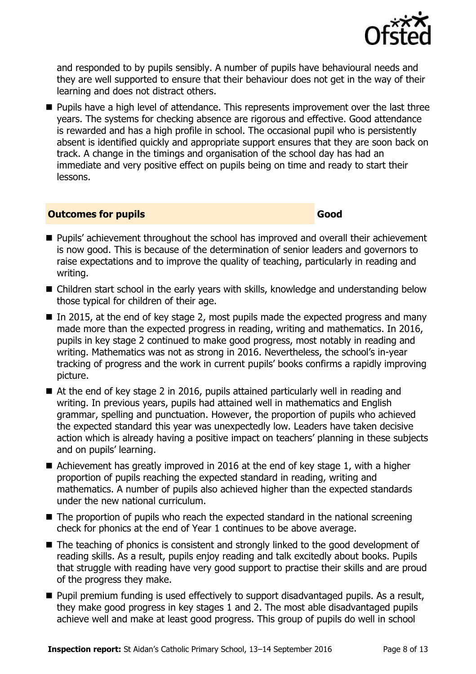

and responded to by pupils sensibly. A number of pupils have behavioural needs and they are well supported to ensure that their behaviour does not get in the way of their learning and does not distract others.

**Pupils have a high level of attendance. This represents improvement over the last three** years. The systems for checking absence are rigorous and effective. Good attendance is rewarded and has a high profile in school. The occasional pupil who is persistently absent is identified quickly and appropriate support ensures that they are soon back on track. A change in the timings and organisation of the school day has had an immediate and very positive effect on pupils being on time and ready to start their lessons.

### **Outcomes for pupils Good**

- **Pupils'** achievement throughout the school has improved and overall their achievement is now good. This is because of the determination of senior leaders and governors to raise expectations and to improve the quality of teaching, particularly in reading and writing.
- Children start school in the early years with skills, knowledge and understanding below those typical for children of their age.
- In 2015, at the end of key stage 2, most pupils made the expected progress and many made more than the expected progress in reading, writing and mathematics. In 2016, pupils in key stage 2 continued to make good progress, most notably in reading and writing. Mathematics was not as strong in 2016. Nevertheless, the school's in-year tracking of progress and the work in current pupils' books confirms a rapidly improving picture.
- At the end of key stage 2 in 2016, pupils attained particularly well in reading and writing. In previous years, pupils had attained well in mathematics and English grammar, spelling and punctuation. However, the proportion of pupils who achieved the expected standard this year was unexpectedly low. Leaders have taken decisive action which is already having a positive impact on teachers' planning in these subjects and on pupils' learning.
- Achievement has greatly improved in 2016 at the end of key stage 1, with a higher proportion of pupils reaching the expected standard in reading, writing and mathematics. A number of pupils also achieved higher than the expected standards under the new national curriculum.
- The proportion of pupils who reach the expected standard in the national screening check for phonics at the end of Year 1 continues to be above average.
- The teaching of phonics is consistent and strongly linked to the good development of reading skills. As a result, pupils enjoy reading and talk excitedly about books. Pupils that struggle with reading have very good support to practise their skills and are proud of the progress they make.
- **Pupil premium funding is used effectively to support disadvantaged pupils. As a result,** they make good progress in key stages 1 and 2. The most able disadvantaged pupils achieve well and make at least good progress. This group of pupils do well in school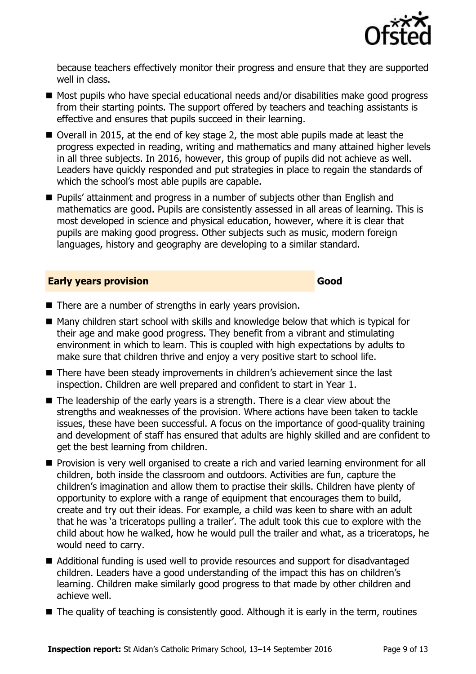

because teachers effectively monitor their progress and ensure that they are supported well in class.

- Most pupils who have special educational needs and/or disabilities make good progress from their starting points. The support offered by teachers and teaching assistants is effective and ensures that pupils succeed in their learning.
- Overall in 2015, at the end of key stage 2, the most able pupils made at least the progress expected in reading, writing and mathematics and many attained higher levels in all three subjects. In 2016, however, this group of pupils did not achieve as well. Leaders have quickly responded and put strategies in place to regain the standards of which the school's most able pupils are capable.
- Pupils' attainment and progress in a number of subjects other than English and mathematics are good. Pupils are consistently assessed in all areas of learning. This is most developed in science and physical education, however, where it is clear that pupils are making good progress. Other subjects such as music, modern foreign languages, history and geography are developing to a similar standard.

#### **Early years provision Good Good**

- There are a number of strengths in early years provision.
- $\blacksquare$  Many children start school with skills and knowledge below that which is typical for their age and make good progress. They benefit from a vibrant and stimulating environment in which to learn. This is coupled with high expectations by adults to make sure that children thrive and enjoy a very positive start to school life.
- There have been steady improvements in children's achievement since the last inspection. Children are well prepared and confident to start in Year 1.
- $\blacksquare$  The leadership of the early years is a strength. There is a clear view about the strengths and weaknesses of the provision. Where actions have been taken to tackle issues, these have been successful. A focus on the importance of good-quality training and development of staff has ensured that adults are highly skilled and are confident to get the best learning from children.
- **Provision is very well organised to create a rich and varied learning environment for all** children, both inside the classroom and outdoors. Activities are fun, capture the children's imagination and allow them to practise their skills. Children have plenty of opportunity to explore with a range of equipment that encourages them to build, create and try out their ideas. For example, a child was keen to share with an adult that he was 'a triceratops pulling a trailer'. The adult took this cue to explore with the child about how he walked, how he would pull the trailer and what, as a triceratops, he would need to carry.
- Additional funding is used well to provide resources and support for disadvantaged children. Leaders have a good understanding of the impact this has on children's learning. Children make similarly good progress to that made by other children and achieve well.
- $\blacksquare$  The quality of teaching is consistently good. Although it is early in the term, routines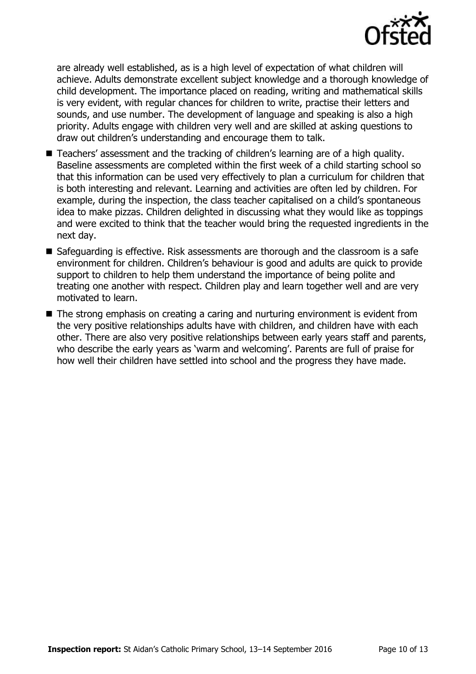

are already well established, as is a high level of expectation of what children will achieve. Adults demonstrate excellent subject knowledge and a thorough knowledge of child development. The importance placed on reading, writing and mathematical skills is very evident, with regular chances for children to write, practise their letters and sounds, and use number. The development of language and speaking is also a high priority. Adults engage with children very well and are skilled at asking questions to draw out children's understanding and encourage them to talk.

- Teachers' assessment and the tracking of children's learning are of a high quality. Baseline assessments are completed within the first week of a child starting school so that this information can be used very effectively to plan a curriculum for children that is both interesting and relevant. Learning and activities are often led by children. For example, during the inspection, the class teacher capitalised on a child's spontaneous idea to make pizzas. Children delighted in discussing what they would like as toppings and were excited to think that the teacher would bring the requested ingredients in the next day.
- Safeguarding is effective. Risk assessments are thorough and the classroom is a safe environment for children. Children's behaviour is good and adults are quick to provide support to children to help them understand the importance of being polite and treating one another with respect. Children play and learn together well and are very motivated to learn.
- The strong emphasis on creating a caring and nurturing environment is evident from the very positive relationships adults have with children, and children have with each other. There are also very positive relationships between early years staff and parents, who describe the early years as 'warm and welcoming'. Parents are full of praise for how well their children have settled into school and the progress they have made.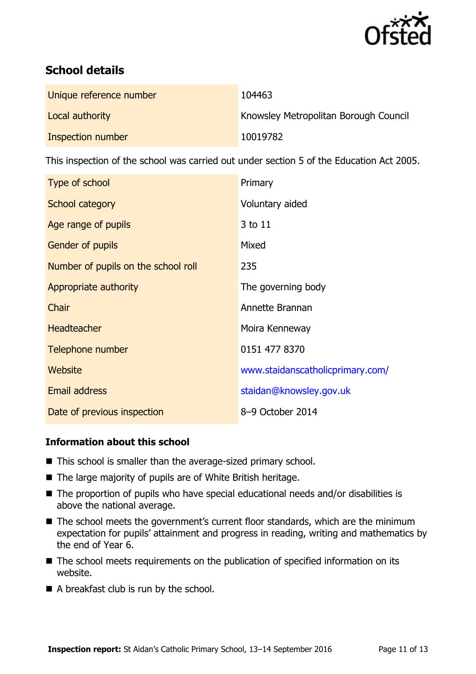

### **School details**

| Unique reference number | 104463                                       |
|-------------------------|----------------------------------------------|
| Local authority         | <b>Knowsley Metropolitan Borough Council</b> |
| Inspection number       | 10019782                                     |

This inspection of the school was carried out under section 5 of the Education Act 2005.

| Type of school                      | Primary                          |
|-------------------------------------|----------------------------------|
| School category                     | Voluntary aided                  |
| Age range of pupils                 | 3 to 11                          |
| Gender of pupils                    | Mixed                            |
| Number of pupils on the school roll | 235                              |
| Appropriate authority               | The governing body               |
| Chair                               | Annette Brannan                  |
| <b>Headteacher</b>                  | Moira Kenneway                   |
| Telephone number                    | 0151 477 8370                    |
| Website                             | www.staidanscatholicprimary.com/ |
| <b>Email address</b>                | staidan@knowsley.gov.uk          |
| Date of previous inspection         | 8-9 October 2014                 |

### **Information about this school**

- This school is smaller than the average-sized primary school.
- The large majority of pupils are of White British heritage.
- The proportion of pupils who have special educational needs and/or disabilities is above the national average.
- The school meets the government's current floor standards, which are the minimum expectation for pupils' attainment and progress in reading, writing and mathematics by the end of Year 6.
- The school meets requirements on the publication of specified information on its website.
- A breakfast club is run by the school.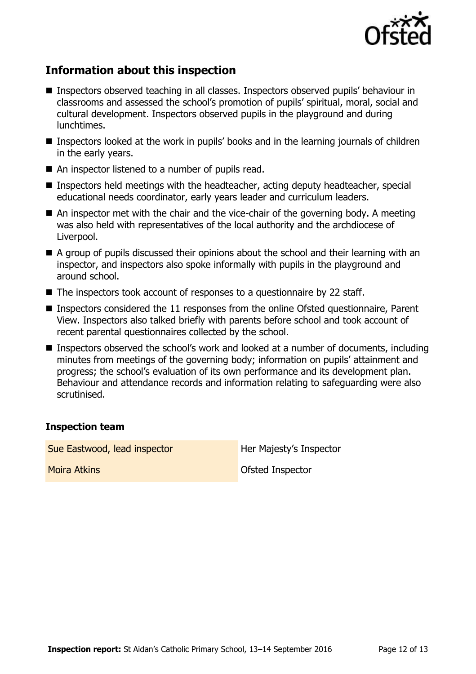

### **Information about this inspection**

- Inspectors observed teaching in all classes. Inspectors observed pupils' behaviour in classrooms and assessed the school's promotion of pupils' spiritual, moral, social and cultural development. Inspectors observed pupils in the playground and during lunchtimes.
- Inspectors looked at the work in pupils' books and in the learning journals of children in the early years.
- An inspector listened to a number of pupils read.
- Inspectors held meetings with the headteacher, acting deputy headteacher, special educational needs coordinator, early years leader and curriculum leaders.
- An inspector met with the chair and the vice-chair of the governing body. A meeting was also held with representatives of the local authority and the archdiocese of Liverpool.
- A group of pupils discussed their opinions about the school and their learning with an inspector, and inspectors also spoke informally with pupils in the playground and around school.
- The inspectors took account of responses to a questionnaire by 22 staff.
- Inspectors considered the 11 responses from the online Ofsted questionnaire, Parent View. Inspectors also talked briefly with parents before school and took account of recent parental questionnaires collected by the school.
- Inspectors observed the school's work and looked at a number of documents, including minutes from meetings of the governing body; information on pupils' attainment and progress; the school's evaluation of its own performance and its development plan. Behaviour and attendance records and information relating to safeguarding were also scrutinised.

### **Inspection team**

Sue Eastwood, lead inspector **Her Majesty's Inspector Moira Atkins** More of the Contract of Contract of Contract of Contract of Contract of Contract of Contract of Contract of Contract of Contract of Contract of Contract of Contract of Contract of Contract of Contract of Con